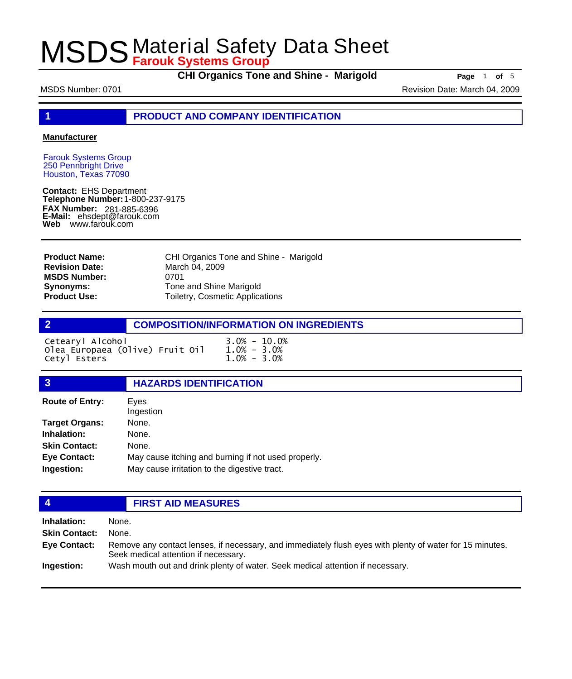**CHI Organics Tone and Shine - Marigold Page** <sup>1</sup> **of** <sup>5</sup>

MSDS Number: 0701 **Revision Date: March 04, 2009** Revision Date: March 04, 2009

**1 PRODUCT AND COMPANY IDENTIFICATION**

#### **Manufacturer**

Farouk Systems Group 250 Pennbright Drive Houston, Texas 77090

**Contact:** EHS Department **Telephone Number:** 1-800-237-9175 **FAX Number: FAX Number:** 281-885-6396<br>**E-Mail:** ehsdept@farouk.com **Web** www.farouk.com

CHI Organics Tone and Shine - Marigold March 04, 2009 0701 Tone and Shine Marigold Toiletry, Cosmetic Applications **Product Name: Revision Date: MSDS Number: Synonyms: Product Use:**

### **2 COMPOSITION/INFORMATION ON INGREDIENTS**

| Cetearyl Alcohol                | $3.0\% - 10.0\%$ |  |
|---------------------------------|------------------|--|
| Olea Europaea (Olive) Fruit Oil | $1.0\% - 3.0\%$  |  |
| Cetyl Esters                    | $1.0\% - 3.0\%$  |  |

### **3 HAZARDS IDENTIFICATION**

| <b>Route of Entry:</b> | Eves<br>Ingestion                                   |
|------------------------|-----------------------------------------------------|
| <b>Target Organs:</b>  | None.                                               |
| Inhalation:            | None.                                               |
| <b>Skin Contact:</b>   | None.                                               |
| <b>Eye Contact:</b>    | May cause itching and burning if not used properly. |
| Ingestion:             | May cause irritation to the digestive tract.        |

### **4 FIRST AID MEASURES**

**Inhalation:** None. **Skin Contact:** None. Remove any contact lenses, if necessary, and immediately flush eyes with plenty of water for 15 minutes. Seek medical attention if necessary. **Eye Contact: Ingestion:** Wash mouth out and drink plenty of water. Seek medical attention if necessary.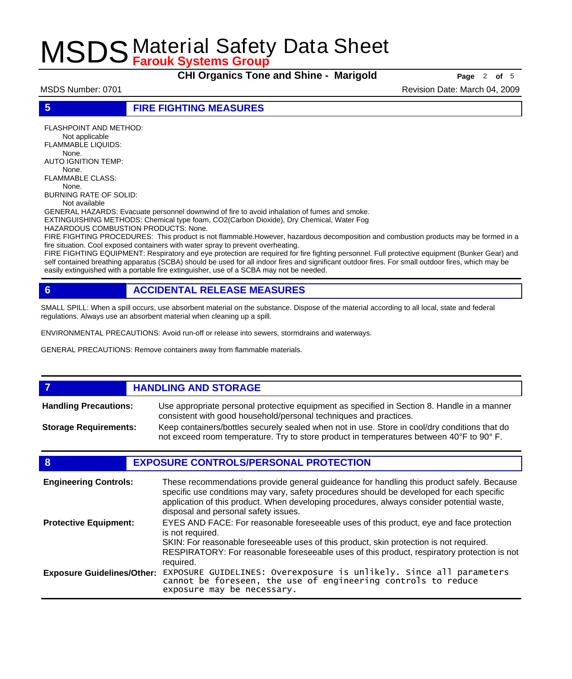**CHI Organics Tone and Shine - Marigold Page** <sup>2</sup> **of** <sup>5</sup>

MSDS Number: 0701 **Revision Date: March 04, 2009** Revision Date: March 04, 2009

**5 FIRE FIGHTING MEASURES**

FLASHPOINT AND METHOD: Not applicable FLAMMABLE LIQUIDS: None. AUTO IGNITION TEMP: None. FLAMMABLE CLASS: None. BURNING RATE OF SOLID:

Not available

GENERAL HAZARDS: Evacuate personnel downwind of fire to avoid inhalation of fumes and smoke. EXTINGUISHING METHODS: Chemical type foam, CO2(Carbon Dioxide), Dry Chemical, Water Fog

HAZARDOUS COMBUSTION PRODUCTS: None.

FIRE FIGHTING PROCEDURES: This product is not flammable.However, hazardous decomposition and combustion products may be formed in a fire situation. Cool exposed containers with water spray to prevent overheating.

FIRE FIGHTING EQUIPMENT: Respiratory and eye protection are required for fire fighting personnel. Full protective equipment (Bunker Gear) and self contained breathing apparatus (SCBA) should be used for all indoor fires and significant outdoor fires. For small outdoor fires, which may be easily extinguished with a portable fire extinguisher, use of a SCBA may not be needed.

### **6 ACCIDENTAL RELEASE MEASURES**

SMALL SPILL: When a spill occurs, use absorbent material on the substance. Dispose of the material according to all local, state and federal regulations. Always use an absorbent material when cleaning up a spill.

ENVIRONMENTAL PRECAUTIONS: Avoid run-off or release into sewers, stormdrains and waterways.

GENERAL PRECAUTIONS: Remove containers away from flammable materials.

#### *HANDLING AND STORAGE* Use appropriate personal protective equipment as specified in Section 8. Handle in a manner consistent with good household/personal techniques and practices. **Handling Precautions:** Keep containers/bottles securely sealed when not in use. Store in cool/dry conditions that do not exceed room temperature. Try to store product in temperatures between 40°F to 90° F. **Storage Requirements:**

### **8 EXPOSURE CONTROLS/PERSONAL PROTECTION**

| <b>Engineering Controls:</b>      | These recommendations provide general guideance for handling this product safely. Because<br>specific use conditions may vary, safety procedures should be developed for each specific<br>application of this product. When developing procedures, always consider potential waste,<br>disposal and personal safety issues. |
|-----------------------------------|-----------------------------------------------------------------------------------------------------------------------------------------------------------------------------------------------------------------------------------------------------------------------------------------------------------------------------|
| <b>Protective Equipment:</b>      | EYES AND FACE: For reasonable foreseeable uses of this product, eye and face protection<br>is not required.<br>SKIN: For reasonable foreseeable uses of this product, skin protection is not required.<br>RESPIRATORY: For reasonable foreseeable uses of this product, respiratory protection is not<br>required.          |
| <b>Exposure Guidelines/Other:</b> | EXPOSURE GUIDELINES: Overexposure is unlikely. Since all parameters cannot be foreseen, the use of engineering controls to reduce<br>exposure may be necessary.                                                                                                                                                             |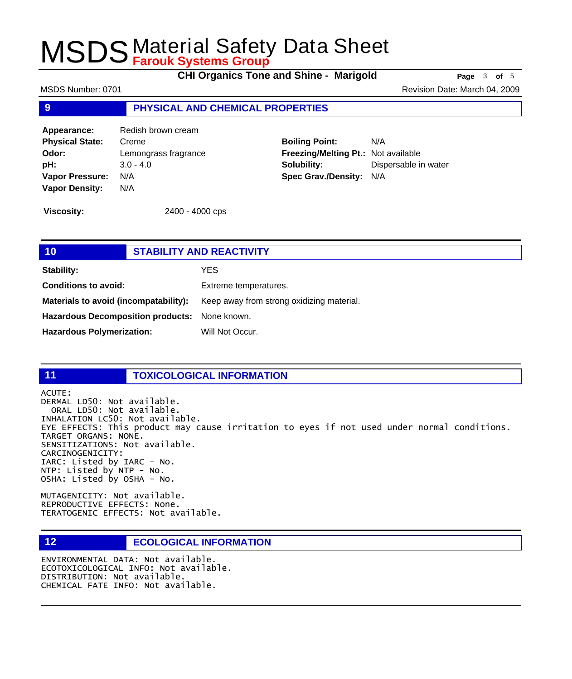**CHI Organics Tone and Shine - Marigold Page** <sup>3</sup> **of** <sup>5</sup>

MSDS Number: 0701 **Revision Date: March 04, 2009** Revision Date: March 04, 2009

#### **9 PHYSICAL AND CHEMICAL PROPERTIES**

**Appearance:** Redish brown cream **Physical State:** Creme **Odor:** Lemongrass fragrance **pH:** 3.0 - 4.0 **Vapor Pressure:** N/A **Vapor Density:** N/A

**Boiling Point:** N/A **Freezing/Melting Pt.:** Not available **Solubility:** Dispersable in water **Spec Grav./Density:** N/A

**Viscosity:** 2400 - 4000 cps

| 10                                            | <b>STABILITY AND REACTIVITY</b>           |  |
|-----------------------------------------------|-------------------------------------------|--|
| <b>Stability:</b>                             | YES                                       |  |
| <b>Conditions to avoid:</b>                   | Extreme temperatures.                     |  |
| Materials to avoid (incompatability):         | Keep away from strong oxidizing material. |  |
| Hazardous Decomposition products: None known. |                                           |  |
| <b>Hazardous Polymerization:</b>              | Will Not Occur.                           |  |
|                                               |                                           |  |

### **11 TOXICOLOGICAL INFORMATION**

ACUTE:

DERMAL LD50: Not available. ORAL LD50: Not available. INHALATION LC50: Not available. EYE EFFECTS: This product may cause irritation to eyes if not used under normal conditions. TARGET ORGANS: NONE. SENSITIZATIONS: Not available. CARCINOGENICITY: IARC: Listed by IARC - No. NTP: Listed by NTP - No. OSHA: Listed by OSHA - No.

MUTAGENICITY: Not available. REPRODUCTIVE EFFECTS: None. TERATOGENIC EFFECTS: Not available.

### **12 ECOLOGICAL INFORMATION**

ENVIRONMENTAL DATA: Not available. ECOTOXICOLOGICAL INFO: Not available. DISTRIBUTION: Not available. CHEMICAL FATE INFO: Not available.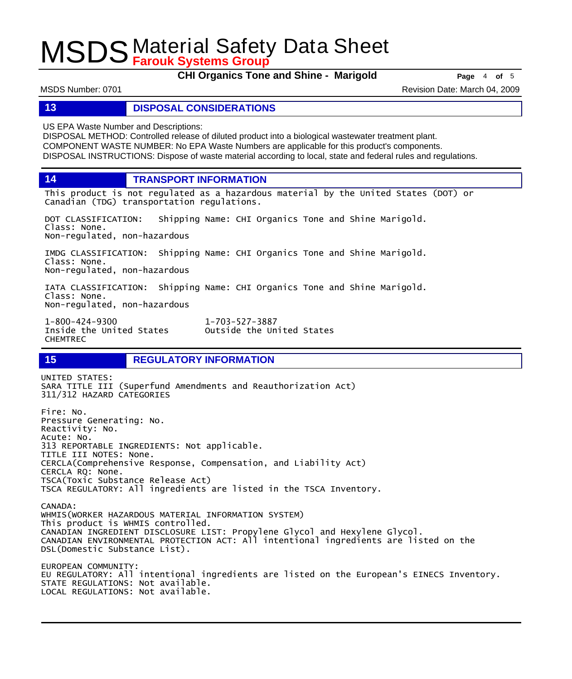**CHI Organics Tone and Shine - Marigold Page** <sup>4</sup> **of** <sup>5</sup>

MSDS Number: 0701 **Revision Date: March 04, 2009** Revision Date: March 04, 2009

#### **13 DISPOSAL CONSIDERATIONS**

US EPA Waste Number and Descriptions:

DISPOSAL METHOD: Controlled release of diluted product into a biological wastewater treatment plant. COMPONENT WASTE NUMBER: No EPA Waste Numbers are applicable for this product's components. DISPOSAL INSTRUCTIONS: Dispose of waste material according to local, state and federal rules and regulations.

**14 TRANSPORT INFORMATION**

This product is not regulated as a hazardous material by the United States (DOT) or Canadian (TDG) transportation regulations.

DOT CLASSIFICATION: Shipping Name: CHI Organics Tone and Shine Marigold. Class: None. Non-regulated, non-hazardous

IMDG CLASSIFICATION: Shipping Name: CHI Organics Tone and Shine Marigold. Class: None. Non-regulated, non-hazardous

IATA CLASSIFICATION: Shipping Name: CHI Organics Tone and Shine Marigold. Class: None. Non-regulated, non-hazardous

1-800-424-9300 1-703-527-3887 CHEMTREC

### **15 REGULATORY INFORMATION**

UNITED STATES: SARA TITLE III (Superfund Amendments and Reauthorization Act) 311/312 HAZARD CATEGORIES Fire: No. Pressure Generating: No. Reactivity: No. Acute: No. 313 REPORTABLE INGREDIENTS: Not applicable. TITLE III NOTES: None. CERCLA(Comprehensive Response, Compensation, and Liability Act) CERCLA RQ: None. TSCA(Toxic Substance Release Act) TSCA REGULATORY: All ingredients are listed in the TSCA Inventory. CANADA: WHMIS(WORKER HAZARDOUS MATERIAL INFORMATION SYSTEM) This product is WHMIS controlled. CANADIAN INGREDIENT DISCLOSURE LIST: Propylene Glycol and Hexylene Glycol. CANADIAN ENVIRONMENTAL PROTECTION ACT: All intentional ingredients are listed on the DSL(Domestic Substance List). EUROPEAN COMMUNITY: EU REGULATORY: All intentional ingredients are listed on the European's EINECS Inventory. STATE REGULATIONS: Not available. LOCAL REGULATIONS: Not available.

Outside the United States